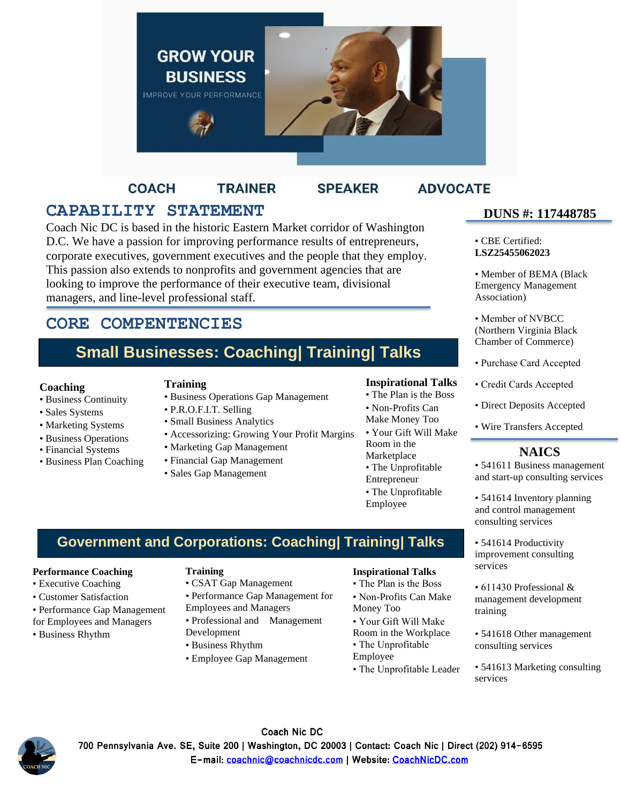

**COACH TRAINER** 

## **SPEAKER**

## **ADVOCATE**

# **CAPABILITY STATEMENT** DUNS #: 11744878

position the text box and  $\frac{1}{2}$  box  $\frac{1}{2}$  the document. Use the document  $\frac{1}{2}$  of  $\frac{1}{2}$  or  $\frac{1}{2}$  or  $\frac{1}{2}$  or  $\frac{1}{2}$  or  $\frac{1}{2}$  or  $\frac{1}{2}$  or  $\frac{1}{2}$  or  $\frac{1}{2}$  or  $\frac{1}{2}$  or  $\frac{1}{2}$  Coach Nic DC is based in the historic Eastern Market corridor of Washington D.C. We have a passion for improving performance results of entrepreneurs, corporate executives, government executives and the people that they employ. This passion also extends to nonprofits and government agencies that are looking to improve the performance of their executive team, divisional managers, and line-level professional staff.

## **CORE COMPENTENCIES**

# **Small Businesses: Coaching| Training| Talks**

#### **Coaching**

- Business Continuity
- Sales Systems
- Marketing Systems
- Business Operations
- Financial Systems
- Business Plan Coaching

#### **Training**

- Business Operations Gap Management
- P.R.O.F.I.T. Selling • Small Business Analytics
- 
- Accessorizing: Growing Your Profit Margins
- Marketing Gap Management
- Financial Gap Management
- Sales Gap Management

#### **Inspirational Talks**

- The Plan is the Boss
- Non-Profits Can
- Make Money Too • Your Gift Will Make
- Room in the Marketplace • The Unprofitable Entrepreneur • The Unprofitable
- Employee

## **Government and Corporations: Coaching| Training| Talks**

#### **Performance Coaching**

- Executive Coaching
- Customer Satisfaction
- Performance Gap Management
- for Employees and Managers
- Business Rhythm

#### **Training**

- CSAT Gap Management • Performance Gap Management for
- Employees and Managers
- Professional and Management Development
- Business Rhythm
- Employee Gap Management

#### **Inspirational Talks**

- The Plan is the Boss
- Non-Profits Can Make
- Money Too
- Your Gift Will Make
- Room in the Workplace
- The Unprofitable
- Employee
- The Unprofitable Leader

## **DUNS #: 117448785**

• CBE Certified: **LSZ25455062023**

• Member of BEMA (Black Emergency Management Association)

• Member of NVBCC (Northern Virginia Black Chamber of Commerce)

- Purchase Card Accepted
- Credit Cards Accepted
- Direct Deposits Accepted
- Wire Transfers Accepted

## **NAICS**

• 541611 Business management and start-up consulting services

• 541614 Inventory planning and control management consulting services

• 541614 Productivity improvement consulting services

• 611430 Professional & management development training

- 541618 Other management consulting services
- 541613 Marketing consulting services



Coach Nic DC 700 Pennsylvania Ave. SE, Suite 200 | Washington, DC 20003 | Contact: Coach Nic | Direct (202) 914-6595 E-mail: coachnic@coachnicdc.com | Website: CoachNicDC.com